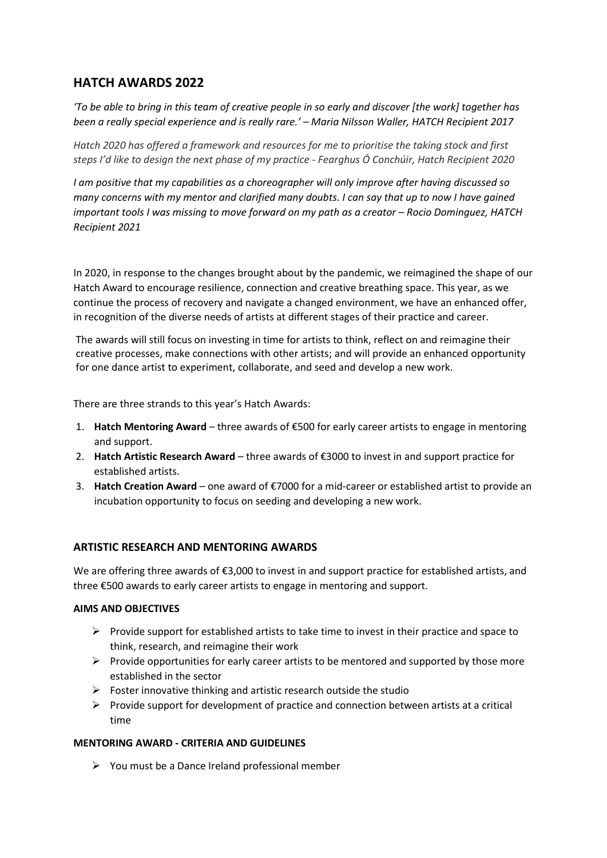# **HATCH AWARDS 2022**

*'To be able to bring in this team of creative people in so early and discover [the work] together has been a really special experience and is really rare.' – Maria Nilsson Waller, HATCH Recipient 2017*

*Hatch 2020 has offered a framework and resources for me to prioritise the taking stock and first steps I'd like to design the next phase of my practice - Fearghus Ó Conchúir, Hatch Recipient 2020*

*I am positive that my capabilities as a choreographer will only improve after having discussed so many concerns with my mentor and clarified many doubts. I can say that up to now I have gained important tools I was missing to move forward on my path as a creator - Rocio Dominguez, HATCH Recipient 2021*

In 2020, in response to the changes brought about by the pandemic, we reimagined the shape of our Hatch Award to encourage resilience, connection and creative breathing space. This year, as we continue the process of recovery and navigate a changed environment, we have an enhanced offer, in recognition of the diverse needs of artists at different stages of their practice and career.

The awards will still focus on investing in time for artists to think, reflect on and reimagine their creative processes, make connections with other artists; and will provide an enhanced opportunity for one dance artist to experiment, collaborate, and seed and develop a new work.

There are three strands to this year's Hatch Awards:

- 1. **Hatch Mentoring Award** three awards of €500 for early career artists to engage in mentoring and support.
- 2. **Hatch Artistic Research Award** three awards of €3000 to invest in and support practice for established artists.
- 3. **Hatch Creation Award** one award of €7000 for a mid-career or established artist to provide an incubation opportunity to focus on seeding and developing a new work.

# **ARTISTIC RESEARCH AND MENTORING AWARDS**

We are offering three awards of €3,000 to invest in and support practice for established artists, and three €500 awards to early career artists to engage in mentoring and support.

# **AIMS AND OBJECTIVES**

- $\triangleright$  Provide support for established artists to take time to invest in their practice and space to think, research, and reimagine their work
- $\triangleright$  Provide opportunities for early career artists to be mentored and supported by those more established in the sector
- $\triangleright$  Foster innovative thinking and artistic research outside the studio
- $\triangleright$  Provide support for development of practice and connection between artists at a critical time

# **MENTORING AWARD - CRITERIA AND GUIDELINES**

➢ You must be a Dance Ireland professional member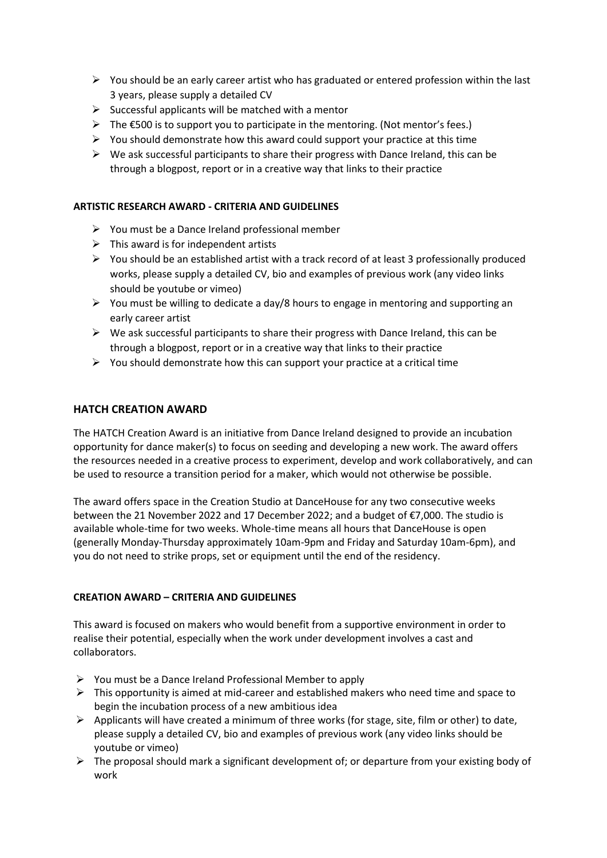- $\triangleright$  You should be an early career artist who has graduated or entered profession within the last 3 years, please supply a detailed CV
- $\triangleright$  Successful applicants will be matched with a mentor
- $\triangleright$  The  $\epsilon$ 500 is to support you to participate in the mentoring. (Not mentor's fees.)
- $\triangleright$  You should demonstrate how this award could support your practice at this time
- $\triangleright$  We ask successful participants to share their progress with Dance Ireland, this can be through a blogpost, report or in a creative way that links to their practice

## **ARTISTIC RESEARCH AWARD - CRITERIA AND GUIDELINES**

- ➢ You must be a Dance Ireland professional member
- $\triangleright$  This award is for independent artists
- ➢ You should be an established artist with a track record of at least 3 professionally produced works, please supply a detailed CV, bio and examples of previous work (any video links should be youtube or vimeo)
- $\triangleright$  You must be willing to dedicate a day/8 hours to engage in mentoring and supporting an early career artist
- $\triangleright$  We ask successful participants to share their progress with Dance Ireland, this can be through a blogpost, report or in a creative way that links to their practice
- $\triangleright$  You should demonstrate how this can support your practice at a critical time

## **HATCH CREATION AWARD**

The HATCH Creation Award is an initiative from Dance Ireland designed to provide an incubation opportunity for dance maker(s) to focus on seeding and developing a new work. The award offers the resources needed in a creative process to experiment, develop and work collaboratively, and can be used to resource a transition period for a maker, which would not otherwise be possible.

The award offers space in the Creation Studio at DanceHouse for any two consecutive weeks between the 21 November 2022 and 17 December 2022; and a budget of €7,000. The studio is available whole-time for two weeks. Whole-time means all hours that DanceHouse is open (generally Monday-Thursday approximately 10am-9pm and Friday and Saturday 10am-6pm), and you do not need to strike props, set or equipment until the end of the residency.

#### **CREATION AWARD – CRITERIA AND GUIDELINES**

This award is focused on makers who would benefit from a supportive environment in order to realise their potential, especially when the work under development involves a cast and collaborators.

- ➢ You must be a Dance Ireland Professional Member to apply
- $\triangleright$  This opportunity is aimed at mid-career and established makers who need time and space to begin the incubation process of a new ambitious idea
- $\triangleright$  Applicants will have created a minimum of three works (for stage, site, film or other) to date, please supply a detailed CV, bio and examples of previous work (any video links should be youtube or vimeo)
- $\triangleright$  The proposal should mark a significant development of; or departure from your existing body of work